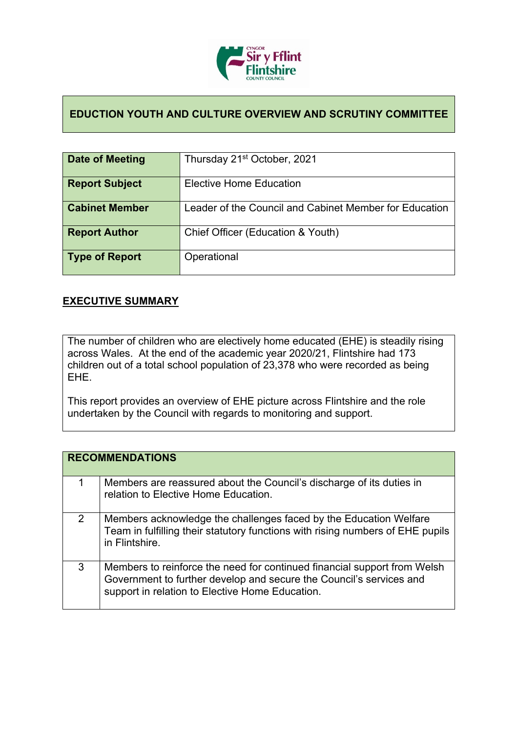

## **EDUCTION YOUTH AND CULTURE OVERVIEW AND SCRUTINY COMMITTEE**

| Date of Meeting       | Thursday 21 <sup>st</sup> October, 2021                |
|-----------------------|--------------------------------------------------------|
| <b>Report Subject</b> | <b>Elective Home Education</b>                         |
| <b>Cabinet Member</b> | Leader of the Council and Cabinet Member for Education |
| <b>Report Author</b>  | Chief Officer (Education & Youth)                      |
| Type of Report        | Operational                                            |

## **EXECUTIVE SUMMARY**

The number of children who are electively home educated (EHE) is steadily rising across Wales. At the end of the academic year 2020/21, Flintshire had 173 children out of a total school population of 23,378 who were recorded as being EHE.

This report provides an overview of EHE picture across Flintshire and the role undertaken by the Council with regards to monitoring and support.

|   | <b>RECOMMENDATIONS</b>                                                                                                                                                                             |
|---|----------------------------------------------------------------------------------------------------------------------------------------------------------------------------------------------------|
|   | Members are reassured about the Council's discharge of its duties in<br>relation to Elective Home Education.                                                                                       |
| 2 | Members acknowledge the challenges faced by the Education Welfare<br>Team in fulfilling their statutory functions with rising numbers of EHE pupils<br>in Flintshire.                              |
| 3 | Members to reinforce the need for continued financial support from Welsh<br>Government to further develop and secure the Council's services and<br>support in relation to Elective Home Education. |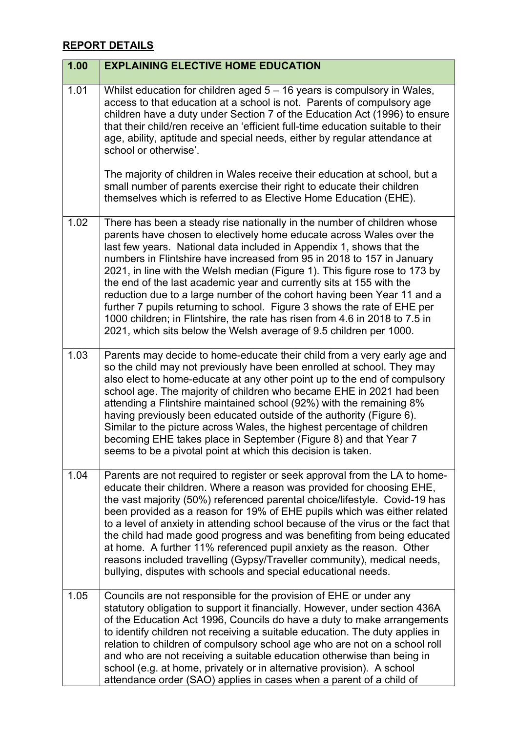## **REPORT DETAILS**

| 1.00 | <b>EXPLAINING ELECTIVE HOME EDUCATION</b>                                                                                                                                                                                                                                                                                                                                                                                                                                                                                                                                                                                                                                                                                                                           |
|------|---------------------------------------------------------------------------------------------------------------------------------------------------------------------------------------------------------------------------------------------------------------------------------------------------------------------------------------------------------------------------------------------------------------------------------------------------------------------------------------------------------------------------------------------------------------------------------------------------------------------------------------------------------------------------------------------------------------------------------------------------------------------|
| 1.01 | Whilst education for children aged $5 - 16$ years is compulsory in Wales,<br>access to that education at a school is not. Parents of compulsory age<br>children have a duty under Section 7 of the Education Act (1996) to ensure<br>that their child/ren receive an 'efficient full-time education suitable to their<br>age, ability, aptitude and special needs, either by regular attendance at<br>school or otherwise'.                                                                                                                                                                                                                                                                                                                                         |
|      | The majority of children in Wales receive their education at school, but a<br>small number of parents exercise their right to educate their children<br>themselves which is referred to as Elective Home Education (EHE).                                                                                                                                                                                                                                                                                                                                                                                                                                                                                                                                           |
| 1.02 | There has been a steady rise nationally in the number of children whose<br>parents have chosen to electively home educate across Wales over the<br>last few years. National data included in Appendix 1, shows that the<br>numbers in Flintshire have increased from 95 in 2018 to 157 in January<br>2021, in line with the Welsh median (Figure 1). This figure rose to 173 by<br>the end of the last academic year and currently sits at 155 with the<br>reduction due to a large number of the cohort having been Year 11 and a<br>further 7 pupils returning to school. Figure 3 shows the rate of EHE per<br>1000 children; in Flintshire, the rate has risen from 4.6 in 2018 to 7.5 in<br>2021, which sits below the Welsh average of 9.5 children per 1000. |
| 1.03 | Parents may decide to home-educate their child from a very early age and<br>so the child may not previously have been enrolled at school. They may<br>also elect to home-educate at any other point up to the end of compulsory<br>school age. The majority of children who became EHE in 2021 had been<br>attending a Flintshire maintained school (92%) with the remaining 8%<br>having previously been educated outside of the authority (Figure 6).<br>Similar to the picture across Wales, the highest percentage of children<br>becoming EHE takes place in September (Figure 8) and that Year 7<br>seems to be a pivotal point at which this decision is taken.                                                                                              |
| 1.04 | Parents are not required to register or seek approval from the LA to home-<br>educate their children. Where a reason was provided for choosing EHE,<br>the vast majority (50%) referenced parental choice/lifestyle. Covid-19 has<br>been provided as a reason for 19% of EHE pupils which was either related<br>to a level of anxiety in attending school because of the virus or the fact that<br>the child had made good progress and was benefiting from being educated<br>at home. A further 11% referenced pupil anxiety as the reason. Other<br>reasons included travelling (Gypsy/Traveller community), medical needs,<br>bullying, disputes with schools and special educational needs.                                                                    |
| 1.05 | Councils are not responsible for the provision of EHE or under any<br>statutory obligation to support it financially. However, under section 436A<br>of the Education Act 1996, Councils do have a duty to make arrangements<br>to identify children not receiving a suitable education. The duty applies in<br>relation to children of compulsory school age who are not on a school roll<br>and who are not receiving a suitable education otherwise than being in<br>school (e.g. at home, privately or in alternative provision). A school<br>attendance order (SAO) applies in cases when a parent of a child of                                                                                                                                               |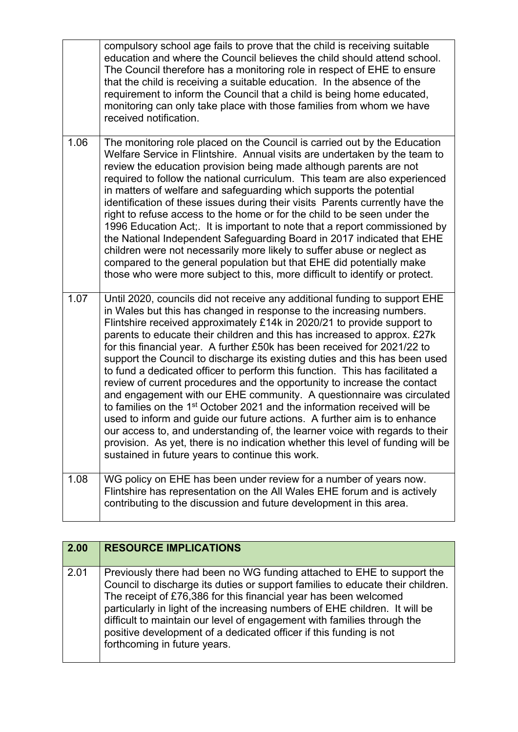|      | compulsory school age fails to prove that the child is receiving suitable<br>education and where the Council believes the child should attend school.<br>The Council therefore has a monitoring role in respect of EHE to ensure<br>that the child is receiving a suitable education. In the absence of the<br>requirement to inform the Council that a child is being home educated,<br>monitoring can only take place with those families from whom we have<br>received notification.                                                                                                                                                                                                                                                                                                                                                                                                                                                                                                                                                                                                              |
|------|------------------------------------------------------------------------------------------------------------------------------------------------------------------------------------------------------------------------------------------------------------------------------------------------------------------------------------------------------------------------------------------------------------------------------------------------------------------------------------------------------------------------------------------------------------------------------------------------------------------------------------------------------------------------------------------------------------------------------------------------------------------------------------------------------------------------------------------------------------------------------------------------------------------------------------------------------------------------------------------------------------------------------------------------------------------------------------------------------|
| 1.06 | The monitoring role placed on the Council is carried out by the Education<br>Welfare Service in Flintshire. Annual visits are undertaken by the team to<br>review the education provision being made although parents are not<br>required to follow the national curriculum. This team are also experienced<br>in matters of welfare and safeguarding which supports the potential<br>identification of these issues during their visits Parents currently have the<br>right to refuse access to the home or for the child to be seen under the<br>1996 Education Act; It is important to note that a report commissioned by<br>the National Independent Safeguarding Board in 2017 indicated that EHE<br>children were not necessarily more likely to suffer abuse or neglect as<br>compared to the general population but that EHE did potentially make<br>those who were more subject to this, more difficult to identify or protect.                                                                                                                                                             |
| 1.07 | Until 2020, councils did not receive any additional funding to support EHE<br>in Wales but this has changed in response to the increasing numbers.<br>Flintshire received approximately £14k in 2020/21 to provide support to<br>parents to educate their children and this has increased to approx. £27k<br>for this financial year. A further £50k has been received for 2021/22 to<br>support the Council to discharge its existing duties and this has been used<br>to fund a dedicated officer to perform this function. This has facilitated a<br>review of current procedures and the opportunity to increase the contact<br>and engagement with our EHE community. A questionnaire was circulated<br>to families on the 1 <sup>st</sup> October 2021 and the information received will be<br>used to inform and guide our future actions. A further aim is to enhance<br>our access to, and understanding of, the learner voice with regards to their<br>provision. As yet, there is no indication whether this level of funding will be<br>sustained in future years to continue this work. |
| 1.08 | WG policy on EHE has been under review for a number of years now.<br>Flintshire has representation on the All Wales EHE forum and is actively<br>contributing to the discussion and future development in this area.                                                                                                                                                                                                                                                                                                                                                                                                                                                                                                                                                                                                                                                                                                                                                                                                                                                                                 |

| 2.00 | <b>RESOURCE IMPLICATIONS</b>                                                                                                                                                                                                                                                                                                                                                                                                                                                                 |
|------|----------------------------------------------------------------------------------------------------------------------------------------------------------------------------------------------------------------------------------------------------------------------------------------------------------------------------------------------------------------------------------------------------------------------------------------------------------------------------------------------|
| 2.01 | Previously there had been no WG funding attached to EHE to support the<br>Council to discharge its duties or support families to educate their children.<br>The receipt of £76,386 for this financial year has been welcomed<br>particularly in light of the increasing numbers of EHE children. It will be<br>difficult to maintain our level of engagement with families through the<br>positive development of a dedicated officer if this funding is not<br>forthcoming in future years. |